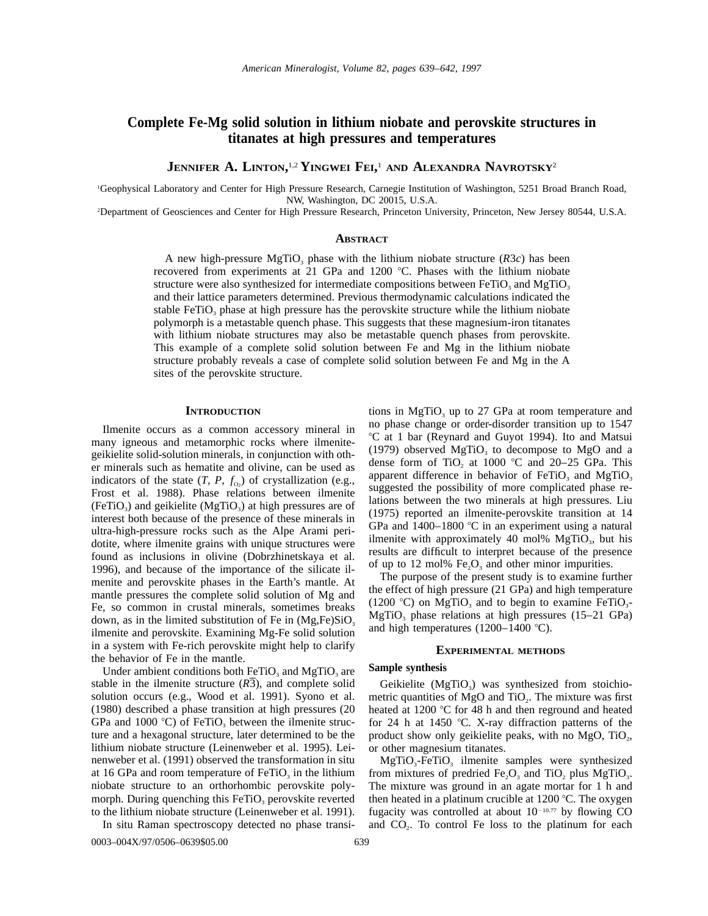# **Complete Fe-Mg solid solution in lithium niobate and perovskite structures in titanates at high pressures and temperatures**

**JENNIFER A. LINTON,** 1,2 **YINGWEI FEI,** <sup>1</sup> **AND ALEXANDRA NAVROTSKY**<sup>2</sup>

1 Geophysical Laboratory and Center for High Pressure Research, Carnegie Institution of Washington, 5251 Broad Branch Road, NW, Washington, DC 20015, U.S.A.

2 Department of Geosciences and Center for High Pressure Research, Princeton University, Princeton, New Jersey 80544, U.S.A.

## **ABSTRACT**

A new high-pressure MgTiO<sub>3</sub> phase with the lithium niobate structure  $(R3c)$  has been recovered from experiments at 21 GPa and 1200  $^{\circ}$ C. Phases with the lithium niobate structure were also synthesized for intermediate compositions between  $FeTiO<sub>3</sub>$  and  $MgTiO<sub>3</sub>$ and their lattice parameters determined. Previous thermodynamic calculations indicated the stable FeTiO<sub>3</sub> phase at high pressure has the perovskite structure while the lithium niobate polymorph is a metastable quench phase. This suggests that these magnesium-iron titanates with lithium niobate structures may also be metastable quench phases from perovskite. This example of a complete solid solution between Fe and Mg in the lithium niobate structure probably reveals a case of complete solid solution between Fe and Mg in the A sites of the perovskite structure.

#### **INTRODUCTION**

Ilmenite occurs as a common accessory mineral in many igneous and metamorphic rocks where ilmenitegeikielite solid-solution minerals, in conjunction with other minerals such as hematite and olivine, can be used as indicators of the state  $(T, P, f_{0}$ ) of crystallization (e.g., Frost et al. 1988). Phase relations between ilmenite (FeTiO<sub>3</sub>) and geikielite (MgTiO<sub>3</sub>) at high pressures are of interest both because of the presence of these minerals in ultra-high-pressure rocks such as the Alpe Arami peridotite, where ilmenite grains with unique structures were found as inclusions in olivine (Dobrzhinetskaya et al. 1996), and because of the importance of the silicate ilmenite and perovskite phases in the Earth's mantle. At mantle pressures the complete solid solution of Mg and Fe, so common in crustal minerals, sometimes breaks down, as in the limited substitution of Fe in  $(Mg,Fe)SiO<sub>3</sub>$ ilmenite and perovskite. Examining Mg-Fe solid solution in a system with Fe-rich perovskite might help to clarify the behavior of Fe in the mantle.

Under ambient conditions both  $FeTiO<sub>3</sub>$  and MgTiO<sub>3</sub> are stable in the ilmenite structure (*R*3), and complete solid solution occurs (e.g., Wood et al. 1991). Syono et al. (1980) described a phase transition at high pressures (20 GPa and 1000 °C) of FeTiO<sub>3</sub> between the ilmenite structure and a hexagonal structure, later determined to be the lithium niobate structure (Leinenweber et al. 1995). Leinenweber et al. (1991) observed the transformation in situ at 16 GPa and room temperature of  $FeTiO<sub>3</sub>$  in the lithium niobate structure to an orthorhombic perovskite polymorph. During quenching this  $FeTiO<sub>3</sub>$  perovskite reverted to the lithium niobate structure (Leinenweber et al. 1991).

In situ Raman spectroscopy detected no phase transi-

tions in  $MgTiO<sub>3</sub>$  up to 27 GPa at room temperature and no phase change or order-disorder transition up to 1547 8C at 1 bar (Reynard and Guyot 1994). Ito and Matsui (1979) observed  $MgTiO<sub>3</sub>$  to decompose to MgO and a dense form of TiO<sub>2</sub> at 1000 °C and 20–25 GPa. This apparent difference in behavior of  $FeTiO<sub>3</sub>$  and  $MgTiO<sub>3</sub>$ suggested the possibility of more complicated phase relations between the two minerals at high pressures. Liu (1975) reported an ilmenite-perovskite transition at 14 GPa and  $1400-1800$  °C in an experiment using a natural ilmenite with approximately 40 mol%  $MgTiO<sub>3</sub>$ , but his results are difficult to interpret because of the presence of up to 12 mol%  $Fe<sub>2</sub>O<sub>3</sub>$  and other minor impurities.

The purpose of the present study is to examine further the effect of high pressure (21 GPa) and high temperature (1200 °C) on MgTiO<sub>3</sub> and to begin to examine FeTiO<sub>3</sub>- $MgTiO<sub>3</sub>$  phase relations at high pressures (15–21 GPa) and high temperatures (1200–1400 °C).

### **EXPERIMENTAL METHODS**

## **Sample synthesis**

Geikielite ( $MgTiO<sub>3</sub>$ ) was synthesized from stoichiometric quantities of MgO and TiO<sub>2</sub>. The mixture was first heated at 1200  $\degree$ C for 48 h and then reground and heated for 24 h at 1450  $\degree$ C. X-ray diffraction patterns of the product show only geikielite peaks, with no  $MgO$ , TiO<sub>2</sub>, or other magnesium titanates.

 $MgTiO<sub>3</sub>-FeTiO<sub>3</sub>$  ilmenite samples were synthesized from mixtures of predried  $Fe<sub>2</sub>O<sub>3</sub>$  and TiO<sub>2</sub> plus MgTiO<sub>3</sub>. The mixture was ground in an agate mortar for 1 h and then heated in a platinum crucible at 1200 °C. The oxygen fugacity was controlled at about  $10^{-10.77}$  by flowing CO and  $CO<sub>2</sub>$ . To control Fe loss to the platinum for each

0003-004X/97/0506-0639\$05.00 639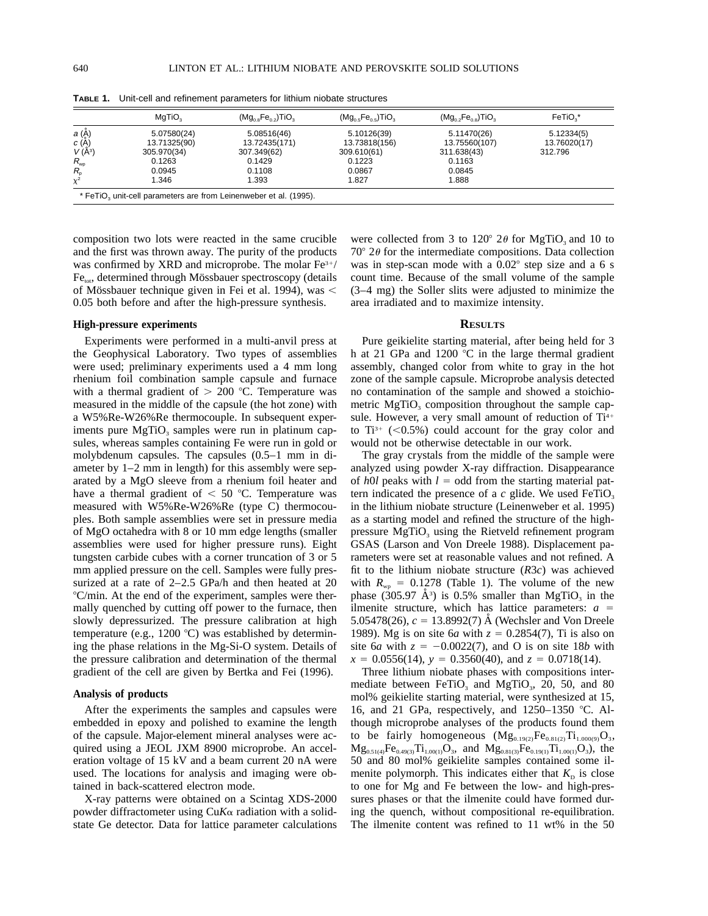|                                | MgTiO <sub>2</sub> | $(Mg_{0.8}Fe_{0.2})TiO3$ | $(Mg_{0.5}Fe_{0.5})TiO3$ | $(Mg_0,Fe_0,TTiO_3)$ | FeTiO <sub>2</sub> * |
|--------------------------------|--------------------|--------------------------|--------------------------|----------------------|----------------------|
| <i>a</i> (Å)                   | 5.07580(24)        | 5.08516(46)              | 5.10126(39)              | 5.11470(26)          | 5.12334(5)           |
| c(A)                           | 13.71325(90)       | 13.72435(171)            | 13.73818(156)            | 13.75560(107)        | 13.76020(17)         |
| $V(A^3)$                       | 305.970(34)        | 307.349(62)              | 309.610(61)              | 311.638(43)          | 312.796              |
| $R_{wp}$                       | 0.1263             | 0.1429                   | 0.1223                   | 0.1163               |                      |
| $R_{\scriptscriptstyle\alpha}$ | 0.0945             | 0.1108                   | 0.0867                   | 0.0845               |                      |
| $\chi^2$                       | 1.346              | 1.393                    | 1.827                    | 1.888                |                      |

**TABLE 1.** Unit-cell and refinement parameters for lithium niobate structures

composition two lots were reacted in the same crucible and the first was thrown away. The purity of the products was confirmed by XRD and microprobe. The molar  $Fe<sup>3+/</sup>$  $Fe<sub>tot</sub>$ , determined through Mössbauer spectroscopy (details of Mössbauer technique given in Fei et al. 1994), was < 0.05 both before and after the high-pressure synthesis.

#### **High-pressure experiments**

Experiments were performed in a multi-anvil press at the Geophysical Laboratory. Two types of assemblies were used; preliminary experiments used a 4 mm long rhenium foil combination sample capsule and furnace with a thermal gradient of  $> 200$  °C. Temperature was measured in the middle of the capsule (the hot zone) with a W5%Re-W26%Re thermocouple. In subsequent experiments pure  $MgTiO<sub>3</sub>$  samples were run in platinum capsules, whereas samples containing Fe were run in gold or molybdenum capsules. The capsules (0.5–1 mm in diameter by 1–2 mm in length) for this assembly were separated by a MgO sleeve from a rhenium foil heater and have a thermal gradient of  $< 50$  °C. Temperature was measured with W5%Re-W26%Re (type C) thermocouples. Both sample assemblies were set in pressure media of MgO octahedra with 8 or 10 mm edge lengths (smaller assemblies were used for higher pressure runs). Eight tungsten carbide cubes with a corner truncation of 3 or 5 mm applied pressure on the cell. Samples were fully pressurized at a rate of 2–2.5 GPa/h and then heated at 20 8C/min. At the end of the experiment, samples were thermally quenched by cutting off power to the furnace, then slowly depressurized. The pressure calibration at high temperature (e.g., 1200 °C) was established by determining the phase relations in the Mg-Si-O system. Details of the pressure calibration and determination of the thermal gradient of the cell are given by Bertka and Fei (1996).

### **Analysis of products**

After the experiments the samples and capsules were embedded in epoxy and polished to examine the length of the capsule. Major-element mineral analyses were acquired using a JEOL JXM 8900 microprobe. An acceleration voltage of 15 kV and a beam current 20 nA were used. The locations for analysis and imaging were obtained in back-scattered electron mode.

X-ray patterns were obtained on a Scintag XDS-2000 powder diffractometer using Cu*K*a radiation with a solidstate Ge detector. Data for lattice parameter calculations

were collected from 3 to 120 $^{\circ}$  2 $\theta$  for MgTiO<sub>3</sub> and 10 to  $70^{\circ}$  2 $\theta$  for the intermediate compositions. Data collection was in step-scan mode with a  $0.02^{\circ}$  step size and a 6 s count time. Because of the small volume of the sample (3–4 mg) the Soller slits were adjusted to minimize the area irradiated and to maximize intensity.

## **RESULTS**

Pure geikielite starting material, after being held for 3 h at 21 GPa and 1200  $\degree$ C in the large thermal gradient assembly, changed color from white to gray in the hot zone of the sample capsule. Microprobe analysis detected no contamination of the sample and showed a stoichiometric  $MgTiO<sub>3</sub>$  composition throughout the sample capsule. However, a very small amount of reduction of  $Ti<sup>4+</sup>$ to  $Ti^{3+}$  (<0.5%) could account for the gray color and would not be otherwise detectable in our work.

The gray crystals from the middle of the sample were analyzed using powder X-ray diffraction. Disappearance of  $h0l$  peaks with  $l =$  odd from the starting material pattern indicated the presence of a  $c$  glide. We used  $FeTiO<sub>3</sub>$ in the lithium niobate structure (Leinenweber et al. 1995) as a starting model and refined the structure of the highpressure  $MgTiO<sub>3</sub>$  using the Rietveld refinement program GSAS (Larson and Von Dreele 1988). Displacement parameters were set at reasonable values and not refined. A fit to the lithium niobate structure (*R*3*c*) was achieved with  $R_{wp} = 0.1278$  (Table 1). The volume of the new phase  $(305.97 \text{ Å}^3)$  is 0.5% smaller than MgTiO<sub>3</sub> in the ilmenite structure, which has lattice parameters:  $a =$ 5.05478(26),  $c = 13.8992(7)$  Å (Wechsler and Von Dreele 1989). Mg is on site 6*a* with  $z = 0.2854(7)$ , Ti is also on site 6*a* with  $z = -0.0022(7)$ , and O is on site 18*b* with  $x = 0.0556(14)$ ,  $y = 0.3560(40)$ , and  $z = 0.0718(14)$ .

Three lithium niobate phases with compositions intermediate between FeTiO<sub>3</sub> and MgTiO<sub>3</sub>, 20, 50, and 80 mol% geikielite starting material, were synthesized at 15, 16, and 21 GPa, respectively, and  $1250-1350$  °C. Although microprobe analyses of the products found them to be fairly homogeneous  $(Mg_{0.19(2)}Fe_{0.81(2)}Ti_{1.000(9)}O_3,$  $Mg_{0.51(4)}Fe_{0.49(3)}Ti_{1.00(1)}O_3$ , and  $Mg_{0.81(3)}Fe_{0.19(1)}Ti_{1.00(1)}O_3$ , the 50 and 80 mol% geikielite samples contained some ilmenite polymorph. This indicates either that  $K<sub>D</sub>$  is close to one for Mg and Fe between the low- and high-pressures phases or that the ilmenite could have formed during the quench, without compositional re-equilibration. The ilmenite content was refined to 11 wt% in the 50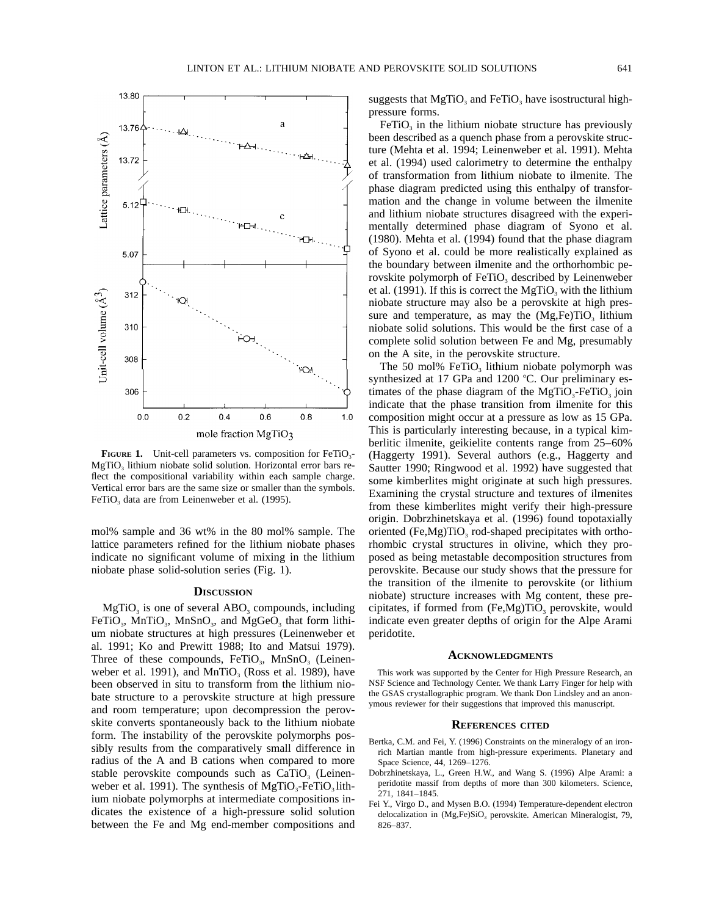

**FIGURE 1.** Unit-cell parameters vs. composition for FeTiO<sub>3</sub>-MgTiO<sub>3</sub> lithium niobate solid solution. Horizontal error bars reflect the compositional variability within each sample charge. Vertical error bars are the same size or smaller than the symbols.  $FeTiO<sub>3</sub>$  data are from Leinenweber et al. (1995).

mol% sample and 36 wt% in the 80 mol% sample. The lattice parameters refined for the lithium niobate phases indicate no significant volume of mixing in the lithium niobate phase solid-solution series (Fig. 1).

### **DISCUSSION**

 $MgTiO<sub>3</sub>$  is one of several ABO<sub>3</sub> compounds, including FeTiO<sub>3</sub>, MnTiO<sub>3</sub>, MnSnO<sub>3</sub>, and MgGeO<sub>3</sub> that form lithium niobate structures at high pressures (Leinenweber et al. 1991; Ko and Prewitt 1988; Ito and Matsui 1979). Three of these compounds,  $FeTiO<sub>3</sub>$ , MnSnO<sub>3</sub> (Leinenweber et al. 1991), and  $MnTiO<sub>3</sub>$  (Ross et al. 1989), have been observed in situ to transform from the lithium niobate structure to a perovskite structure at high pressure and room temperature; upon decompression the perovskite converts spontaneously back to the lithium niobate form. The instability of the perovskite polymorphs possibly results from the comparatively small difference in radius of the A and B cations when compared to more stable perovskite compounds such as  $CaTiO<sub>3</sub>$  (Leinenweber et al. 1991). The synthesis of  $MgTiO<sub>3</sub>-FeTiO<sub>3</sub>$  lithium niobate polymorphs at intermediate compositions indicates the existence of a high-pressure solid solution between the Fe and Mg end-member compositions and suggests that  $MgTiO<sub>3</sub>$  and FeTiO<sub>3</sub> have isostructural highpressure forms.

 $FeTiO<sub>3</sub>$  in the lithium niobate structure has previously been described as a quench phase from a perovskite structure (Mehta et al. 1994; Leinenweber et al. 1991). Mehta et al. (1994) used calorimetry to determine the enthalpy of transformation from lithium niobate to ilmenite. The phase diagram predicted using this enthalpy of transformation and the change in volume between the ilmenite and lithium niobate structures disagreed with the experimentally determined phase diagram of Syono et al. (1980). Mehta et al. (1994) found that the phase diagram of Syono et al. could be more realistically explained as the boundary between ilmenite and the orthorhombic perovskite polymorph of FeTiO<sub>3</sub> described by Leinenweber et al. (1991). If this is correct the  $MgTiO<sub>3</sub>$  with the lithium niobate structure may also be a perovskite at high pressure and temperature, as may the  $(Mg,Fe)TiO<sub>3</sub>$  lithium niobate solid solutions. This would be the first case of a complete solid solution between Fe and Mg, presumably on the A site, in the perovskite structure.

The 50 mol% FeTiO<sub>3</sub> lithium niobate polymorph was synthesized at 17 GPa and 1200  $^{\circ}$ C. Our preliminary estimates of the phase diagram of the  $MgTiO<sub>3</sub>-FeTiO<sub>3</sub>$  join indicate that the phase transition from ilmenite for this composition might occur at a pressure as low as 15 GPa. This is particularly interesting because, in a typical kimberlitic ilmenite, geikielite contents range from 25–60% (Haggerty 1991). Several authors (e.g., Haggerty and Sautter 1990; Ringwood et al. 1992) have suggested that some kimberlites might originate at such high pressures. Examining the crystal structure and textures of ilmenites from these kimberlites might verify their high-pressure origin. Dobrzhinetskaya et al. (1996) found topotaxially oriented  $(Fe, Mg)TiO<sub>3</sub>$  rod-shaped precipitates with orthorhombic crystal structures in olivine, which they proposed as being metastable decomposition structures from perovskite. Because our study shows that the pressure for the transition of the ilmenite to perovskite (or lithium niobate) structure increases with Mg content, these precipitates, if formed from  $(Fe, Mg)TiO<sub>3</sub>$  perovskite, would indicate even greater depths of origin for the Alpe Arami peridotite.

#### **ACKNOWLEDGMENTS**

This work was supported by the Center for High Pressure Research, an NSF Science and Technology Center. We thank Larry Finger for help with the GSAS crystallographic program. We thank Don Lindsley and an anonymous reviewer for their suggestions that improved this manuscript.

#### **REFERENCES CITED**

- Bertka, C.M. and Fei, Y. (1996) Constraints on the mineralogy of an ironrich Martian mantle from high-pressure experiments. Planetary and Space Science, 44, 1269–1276.
- Dobrzhinetskaya, L., Green H.W., and Wang S. (1996) Alpe Arami: a peridotite massif from depths of more than 300 kilometers. Science, 271, 1841–1845.
- Fei Y., Virgo D., and Mysen B.O. (1994) Temperature-dependent electron delocalization in (Mg,Fe)SiO<sub>3</sub> perovskite. American Mineralogist, 79, 826–837.